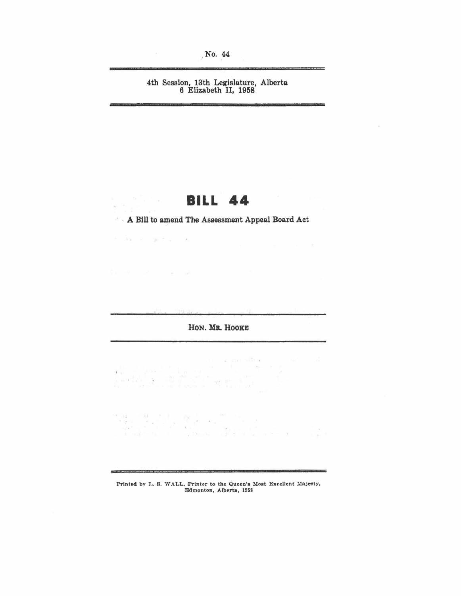No. 44

# 4th Session, 13th Legislature, Alberta<br>6 Elizabeth II, 1958

# **BILL 44**

 $\label{eq:1.1} \begin{array}{l} \mathbf{x}^{(0)} = \mathbf{x}^{(0)} \mathbf{x}^{(0)} \mathbf{x}^{(0)} \mathbf{x}^{(0)} \mathbf{x}^{(0)} \mathbf{x}^{(0)} \mathbf{x}^{(0)} \mathbf{x}^{(0)} \mathbf{x}^{(0)} \mathbf{x}^{(0)} \mathbf{x}^{(0)} \mathbf{x}^{(0)} \mathbf{x}^{(0)} \mathbf{x}^{(0)} \mathbf{x}^{(0)} \mathbf{x}^{(0)} \mathbf{x}^{(0)} \mathbf{x}^{(0)} \mathbf{x}^{(0)} \mathbf{x}^{(0)} \mathbf{x}^{(0)} \mathbf{x}$ 

in.

The most control of the media

 $\mathcal{F}=\frac{1}{2} \mathcal{F}^{(1)}$  $\sim$   $^{\circ}$ 

A Bill to amend The Assessment Appeal Board Act

### HON. MR. HOOKE

 $\frac{1}{2} \frac{2}{3} \pi - \mu$  $\label{eq:1.1} \mathbb{E}\left[\begin{array}{ccc} \mathbb{E} & \mathbb{E} & \mathbb{E} \mathbb{E} \mathbb{E} \mathbb{E} \mathbb{E} \mathbb{E} \mathbb{E} \mathbb{E} \mathbb{E} \mathbb{E} \mathbb{E} \mathbb{E} \mathbb{E} \mathbb{E} \mathbb{E} \mathbb{E} \mathbb{E} \mathbb{E} \mathbb{E} \mathbb{E} \mathbb{E} \mathbb{E} \mathbb{E} \mathbb{E} \mathbb{E} \mathbb{E} \mathbb{E} \mathbb{E} \mathbb{E} \mathbb{E} \mathbb$ 

 $\;$ 

Printed by L. S. WALL, Printer to the Queen's Most Excellent Majesty, Edmonton, Alberta, 1958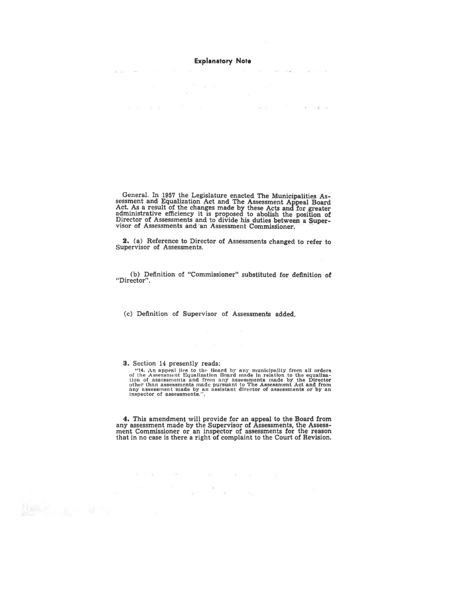#### **Explanatory Note**

The game of

ú.

da Francisco

 $\mathbf{r}_\mathrm{in}$  , we

**All Service** 

 $\mathcal{N}$  . The set of the  $\mathcal{L}_{\mathcal{N}}$  and  $\mathcal{L}_{\mathcal{N}}$ 

 $\frac{1}{2}$ 

General. In 1957 the Legislature enacted The Municipalities Assessment and Equalization Act and The Assessment Appeal Board Act. As a result of the changes made by these Acts and for greater administrative efficiency it is Director of Assessments and to divide his duties between a Super-<br>visor of Assessments and an Assessment Commissioner.

2. (a) Reference to Director of Assessments changed to refer to Supervisor of Assessments.

(b) Definition of "Commissioner" substituted for definition of "Director".

(c) Definition of Supervisor of Assessments added.

3. Section 14 presently reads:

"14. An appeal lies to the Board by any municipality from all orders of the Assessment Equalization Board made in relation to the equalization of assessments and from any assessments made by the Director-<br>other than asses

**4.** This amendment will provide for an appeal to the Board from any assessment made by the Supervisor of Assessments, the Assessment Commissioner or an inspector of assessments for the reason that in no case is there a right of complaint to the Court of Revision.

 $\sim$  100  $\sim$ 

 $\alpha$  ,  $\alpha$  ,  $\alpha$ 

 $\label{eq:12} \begin{array}{rcl} \hat{\mathbf{x}}(k) & = & \mathbf{x}_{1} \\ \end{array}$ 

 $\mathbf{r} = \mathbf{r} \times \mathbf{r}$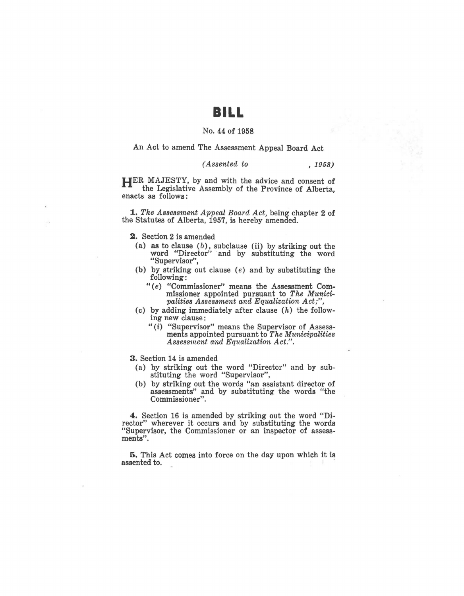# **BILL**

#### No. 44 of 1958

An Act to amend The Assessment Appeal Board Act

#### *(Assented to* , 1958)

**HER** MAJESTY, by and with the advice and consent of the Legislative Assembly of the Province of Alberta, enacts as follows:

**1.** The Assessment Appeal Board Act, being chapter 2 of the Statutes of Alberta, 1957, is hereby amended.

**2.** Section 2 is amended

- (a) as to clause  $(b)$ , subclause (ii) by striking out the word "Director" ·and by substituting the word "Supervisor'',
- (b) by striking out clause (e) and by substituting the following:
	- " (e) "Commissioner" means the Assessment Commissioner appointed pursuant to *The Municipalities Assessment and Equalization Act;",*
- (c) by adding immediately after clause  $(h)$  the following new clause :
	- $''(i)$  "Supervisor" means the Supervisor of Assessments appointed pursuant to *The Municipalities Assessment and Equalization Act.".*

3. Section 14 is amended

- (a) by striking out the word "Director" and by substituting the word "Supervisor",
- (b) by striking out the words "an assistant director of assessments" and by substituting the words "the Commissioner".

**4.** Section 16 is amended by striking out the word "Director" wherever it occurs and by substituting the words "Supervisor, the Commissioner or an inspector of assessments".

5. This Act comes into force on the day upon which it is assented to.